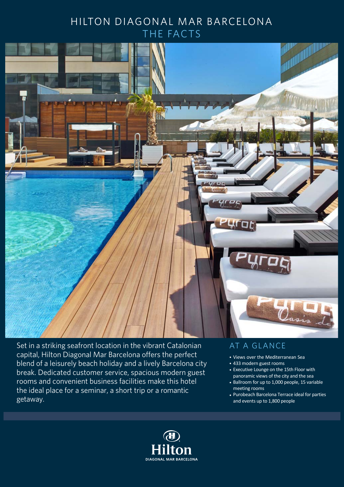## HILTON DIAGONAL MAR BARCELONA THE FACTS



Set in a striking seafront location in the vibrant Catalonian capital, Hilton Diagonal Mar Barcelona offers the perfect blend of a leisurely beach holiday and a lively Barcelona city break. Dedicated customer service, spacious modern guest rooms and convenient business facilities make this hotel the ideal place for a seminar, a short trip or a romantic getaway.

### AT A GLANCE

- Views over the Mediterranean Sea
- 433 modern guest rooms •
- Executive Lounge on the 15th Floor with panoramic views of the city and the sea
- Ballroom for up to 1,000 people, 15 variable meeting rooms
- Purobeach Barcelona Terrace ideal for parties and events up to 1,800 people